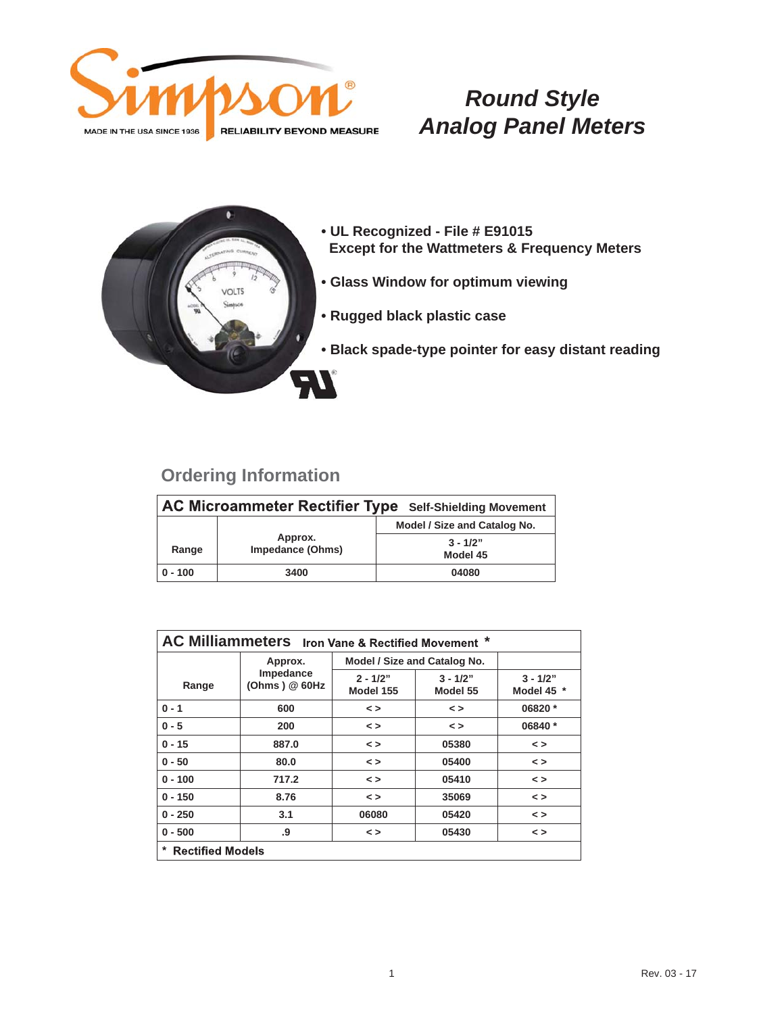



- **UL Recognized File # E91015 Except for the Wattmeters & Frequency Meters**
- **Glass Window for optimum viewing**
- **Rugged black plastic case**
- **Black spade-type pointer for easy distant reading**

| AC Microammeter Rectifier Type Self-Shielding Movement |                                    |                              |  |
|--------------------------------------------------------|------------------------------------|------------------------------|--|
|                                                        |                                    | Model / Size and Catalog No. |  |
| Range                                                  | Approx.<br><b>Impedance (Ohms)</b> | $3 - 1/2"$<br>Model 45       |  |
| $0 - 100$                                              | 3400                               | 04080                        |  |

| AC Milliammeters Iron Vane & Rectified Movement * |                             |                              |                        |                          |
|---------------------------------------------------|-----------------------------|------------------------------|------------------------|--------------------------|
|                                                   | Approx.                     | Model / Size and Catalog No. |                        |                          |
| Range                                             | Impedance<br>(Ohms) $@60Hz$ | $2 - 1/2"$<br>Model 155      | $3 - 1/2"$<br>Model 55 | $3 - 1/2"$<br>Model 45 * |
| $0 - 1$                                           | 600                         | $\leq$                       | $\leq$ $>$             | 06820 *                  |
| $0 - 5$                                           | 200                         | $\leq$                       | $\leq$ $>$             | 06840 *                  |
| $0 - 15$                                          | 887.0                       | $\leq$                       | 05380                  | $\leq$                   |
| $0 - 50$                                          | 80.0                        | $\leq$                       | 05400                  | $\leq$                   |
| $0 - 100$                                         | 717.2                       | $\leq$                       | 05410                  | $\leq$                   |
| $0 - 150$                                         | 8.76                        | $\leq$                       | 35069                  | $\leq$                   |
| $0 - 250$                                         | 3.1                         | 06080                        | 05420                  | $\leq$                   |
| $0 - 500$                                         | .9                          | $\leq$                       | 05430                  | $\leq$                   |
| $\star$<br><b>Rectified Models</b>                |                             |                              |                        |                          |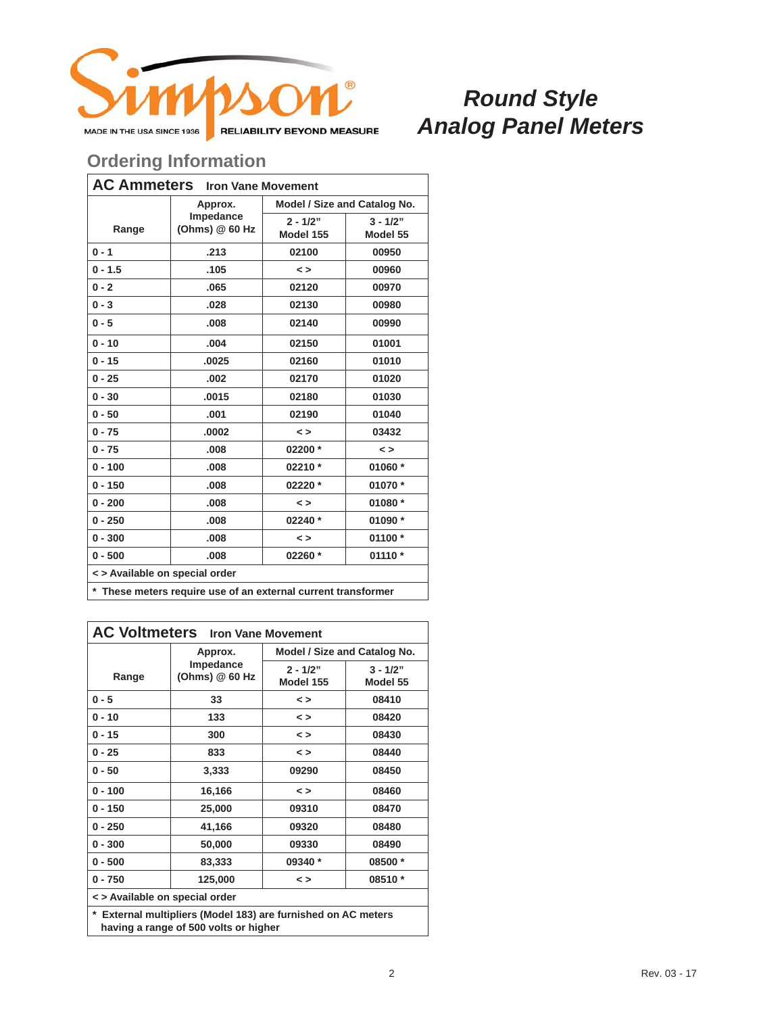

#### **Ordering Information**

| <b>AC Ammeters</b> Iron Vane Movement |                              |                              |                        |  |
|---------------------------------------|------------------------------|------------------------------|------------------------|--|
|                                       | Approx.                      | Model / Size and Catalog No. |                        |  |
| Range                                 | Impedance<br>(Ohms) $@60$ Hz | $2 - 1/2"$<br>Model 155      | $3 - 1/2"$<br>Model 55 |  |
| $0 - 1$                               | .213                         | 02100                        | 00950                  |  |
| $0 - 1.5$                             | .105                         | $\leq$                       | 00960                  |  |
| $0 - 2$                               | .065                         | 02120                        | 00970                  |  |
| $0 - 3$                               | .028                         | 02130                        | 00980                  |  |
| $0 - 5$                               | .008                         | 02140                        | 00990                  |  |
| $0 - 10$                              | .004                         | 02150                        | 01001                  |  |
| $0 - 15$                              | .0025                        | 02160                        | 01010                  |  |
| $0 - 25$                              | .002                         | 02170                        | 01020                  |  |
| $0 - 30$                              | .0015                        | 02180                        | 01030                  |  |
| $0 - 50$                              | .001                         | 02190                        | 01040                  |  |
| $0 - 75$                              | .0002                        | $\leq$                       | 03432                  |  |
| $0 - 75$                              | .008                         | 02200 *                      | $\leq$                 |  |
| $0 - 100$                             | .008                         | 02210 *                      | 01060 *                |  |
| $0 - 150$                             | .008                         | 02220 *                      | 01070 *                |  |
| $0 - 200$                             | .008                         | $\leq$                       | 01080 *                |  |
| $0 - 250$                             | .008                         | 02240 *                      | 01090 *                |  |
| $0 - 300$                             | .008                         | $\leq$                       | 01100 *                |  |
| $0 - 500$                             | .008                         | 02260 *                      | 01110 *                |  |
| < > Available on special order        |                              |                              |                        |  |
|                                       |                              |                              |                        |  |

**\* These meters require use of an external current transformer**

| <b>AC Voltmeters</b> Iron Vane Movement                             |                             |                              |                        |  |
|---------------------------------------------------------------------|-----------------------------|------------------------------|------------------------|--|
|                                                                     | Approx.                     | Model / Size and Catalog No. |                        |  |
| Range                                                               | Impedance<br>(Ohms) @ 60 Hz | $2 - 1/2"$<br>Model 155      | $3 - 1/2"$<br>Model 55 |  |
| $0 - 5$                                                             | 33                          | $\leq$                       | 08410                  |  |
| $0 - 10$                                                            | 133                         | $\leq$                       | 08420                  |  |
| $0 - 15$                                                            | 300                         | $\leq$                       | 08430                  |  |
| $0 - 25$                                                            | 833                         | $\leq$                       | 08440                  |  |
| $0 - 50$                                                            | 3,333                       | 09290                        | 08450                  |  |
| $0 - 100$                                                           | 16,166                      | $\leq$                       | 08460                  |  |
| $0 - 150$                                                           | 25,000                      | 09310                        | 08470                  |  |
| $0 - 250$                                                           | 41,166                      | 09320                        | 08480                  |  |
| $0 - 300$                                                           | 50,000                      | 09330                        | 08490                  |  |
| $0 - 500$                                                           | 83,333                      | 09340 *                      | 08500 *                |  |
| $0 - 750$                                                           | 125,000                     | $\leq$                       | 08510 *                |  |
| < > Available on special order                                      |                             |                              |                        |  |
| $\star$ Evternal multipliers (Medal 402) are furnished an AC meters |                             |                              |                        |  |

**\* External multipliers (Model 183) are furnished on AC meters having a range of 500 volts or higher**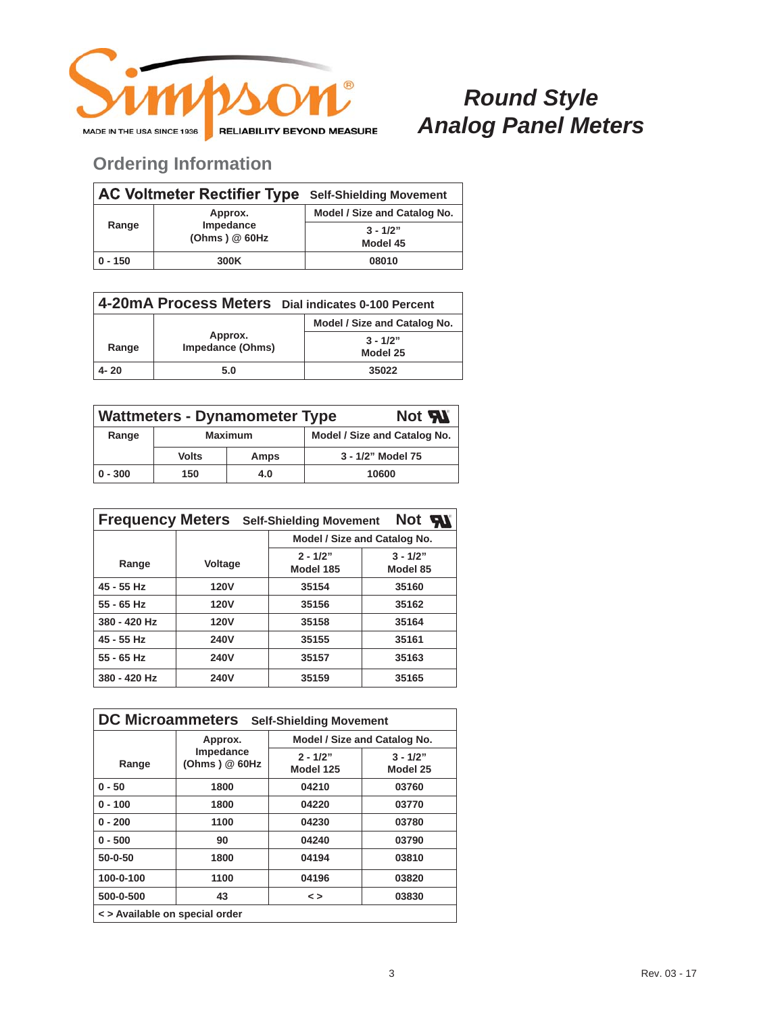

|           | <b>AC Voltmeter Rectifier Type Self-Shielding Movement</b> |                              |
|-----------|------------------------------------------------------------|------------------------------|
|           | Approx.                                                    | Model / Size and Catalog No. |
| Range     | Impedance<br>(Ohms) @ 60Hz                                 | $3 - 1/2"$<br>Model 45       |
| $0 - 150$ | 300K                                                       | 08010                        |

| 4-20mA Process Meters Dial indicates 0-100 Percent |                             |                              |  |
|----------------------------------------------------|-----------------------------|------------------------------|--|
|                                                    |                             | Model / Size and Catalog No. |  |
| Range                                              | Approx.<br>Impedance (Ohms) | $3 - 1/2"$<br>Model 25       |  |
| $4 - 20$                                           | 5.0                         | 35022                        |  |

| Not <b>5N</b><br><b>Wattmeters - Dynamometer Type</b> |                |      |                              |  |
|-------------------------------------------------------|----------------|------|------------------------------|--|
| Range                                                 | <b>Maximum</b> |      | Model / Size and Catalog No. |  |
|                                                       | <b>Volts</b>   | Amps | 3 - 1/2" Model 75            |  |
| $0 - 300$                                             | 150            | 4.0  | 10600                        |  |

| <b>Frequency Meters</b><br>Not <b>All</b><br><b>Self-Shielding Movement</b> |             |                              |                        |  |  |
|-----------------------------------------------------------------------------|-------------|------------------------------|------------------------|--|--|
|                                                                             |             | Model / Size and Catalog No. |                        |  |  |
| Range                                                                       | Voltage     | $2 - 1/2"$<br>Model 185      | $3 - 1/2"$<br>Model 85 |  |  |
| 45 - 55 Hz                                                                  | <b>120V</b> | 35154                        | 35160                  |  |  |
| $55 - 65$ Hz                                                                | <b>120V</b> | 35156                        | 35162                  |  |  |
| 380 - 420 Hz                                                                | <b>120V</b> | 35158                        | 35164                  |  |  |
| 45 - 55 Hz                                                                  | <b>240V</b> | 35155                        | 35161                  |  |  |
| 55 - 65 Hz                                                                  | <b>240V</b> | 35157                        | 35163                  |  |  |
| 380 - 420 Hz                                                                | <b>240V</b> | 35159                        | 35165                  |  |  |

| <b>DC Microammeters</b><br><b>Self-Shielding Movement</b> |                            |                         |                              |
|-----------------------------------------------------------|----------------------------|-------------------------|------------------------------|
|                                                           | Approx.                    |                         | Model / Size and Catalog No. |
| Range                                                     | Impedance<br>(Ohms) @ 60Hz | $2 - 1/2"$<br>Model 125 | $3 - 1/2"$<br>Model 25       |
| $0 - 50$                                                  | 1800                       | 04210                   | 03760                        |
| $0 - 100$                                                 | 1800                       | 04220                   | 03770                        |
| $0 - 200$                                                 | 1100                       | 04230                   | 03780                        |
| $0 - 500$                                                 | 90                         | 04240                   | 03790                        |
| 50-0-50                                                   | 1800                       | 04194                   | 03810                        |
| 100-0-100                                                 | 1100                       | 04196                   | 03820                        |
| 500-0-500                                                 | 43                         | $\leq$                  | 03830                        |
| <> Available on special order                             |                            |                         |                              |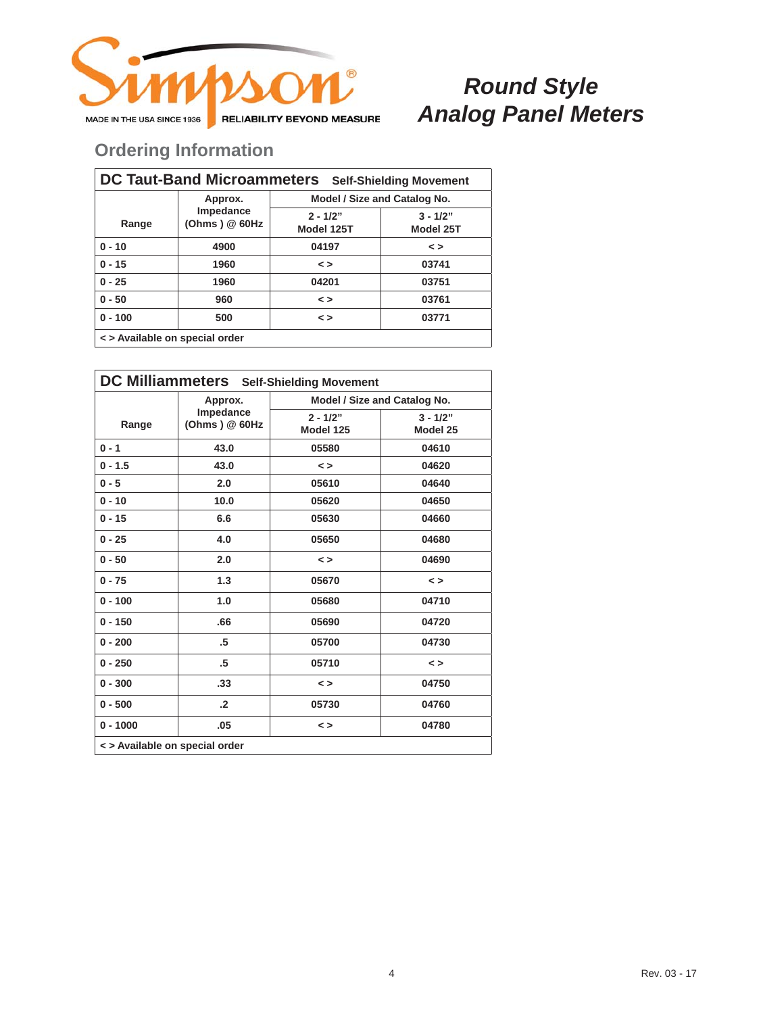

| DC Taut-Band Microammeters Self-Shielding Movement |                             |                              |                         |  |
|----------------------------------------------------|-----------------------------|------------------------------|-------------------------|--|
|                                                    | Approx.                     | Model / Size and Catalog No. |                         |  |
| Range                                              | Impedance<br>(Ohms) $@60Hz$ | $2 - 1/2"$<br>Model 125T     | $3 - 1/2"$<br>Model 25T |  |
| $0 - 10$                                           | 4900                        | 04197                        | $\leq$                  |  |
| $0 - 15$                                           | 1960                        | $\leq$                       | 03741                   |  |
| $0 - 25$                                           | 1960                        | 04201                        | 03751                   |  |
| $0 - 50$                                           | 960                         | $\leq$                       | 03761                   |  |
| $0 - 100$                                          | 500                         | $\leq$                       | 03771                   |  |
| <> Available on special order                      |                             |                              |                         |  |

| DC Milliammeters Self-Shielding Movement |                              |                              |                        |
|------------------------------------------|------------------------------|------------------------------|------------------------|
|                                          | Approx.                      | Model / Size and Catalog No. |                        |
| Range                                    | Impedance<br>(Ohms) $@$ 60Hz | $2 - 1/2"$<br>Model 125      | $3 - 1/2"$<br>Model 25 |
| $0 - 1$                                  | 43.0                         | 05580                        | 04610                  |
| $0 - 1.5$                                | 43.0                         | $\leq$                       | 04620                  |
| $0 - 5$                                  | 2.0                          | 05610                        | 04640                  |
| $0 - 10$                                 | 10.0                         | 05620                        | 04650                  |
| $0 - 15$                                 | 6.6                          | 05630                        | 04660                  |
| $0 - 25$                                 | 4.0                          | 05650                        | 04680                  |
| $0 - 50$                                 | 2.0                          | $\leq$                       | 04690                  |
| $0 - 75$                                 | 1.3                          | 05670                        | $\leq$                 |
| $0 - 100$                                | 1.0                          | 05680                        | 04710                  |
| $0 - 150$                                | .66                          | 05690                        | 04720                  |
| $0 - 200$                                | .5                           | 05700                        | 04730                  |
| $0 - 250$                                | .5                           | 05710                        | $\leq$ $>$             |
| $0 - 300$                                | .33                          | $\leq$                       | 04750                  |
| $0 - 500$                                | $\cdot$                      | 05730                        | 04760                  |
| $0 - 1000$                               | .05                          | $\leq$                       | 04780                  |
| < > Available on special order           |                              |                              |                        |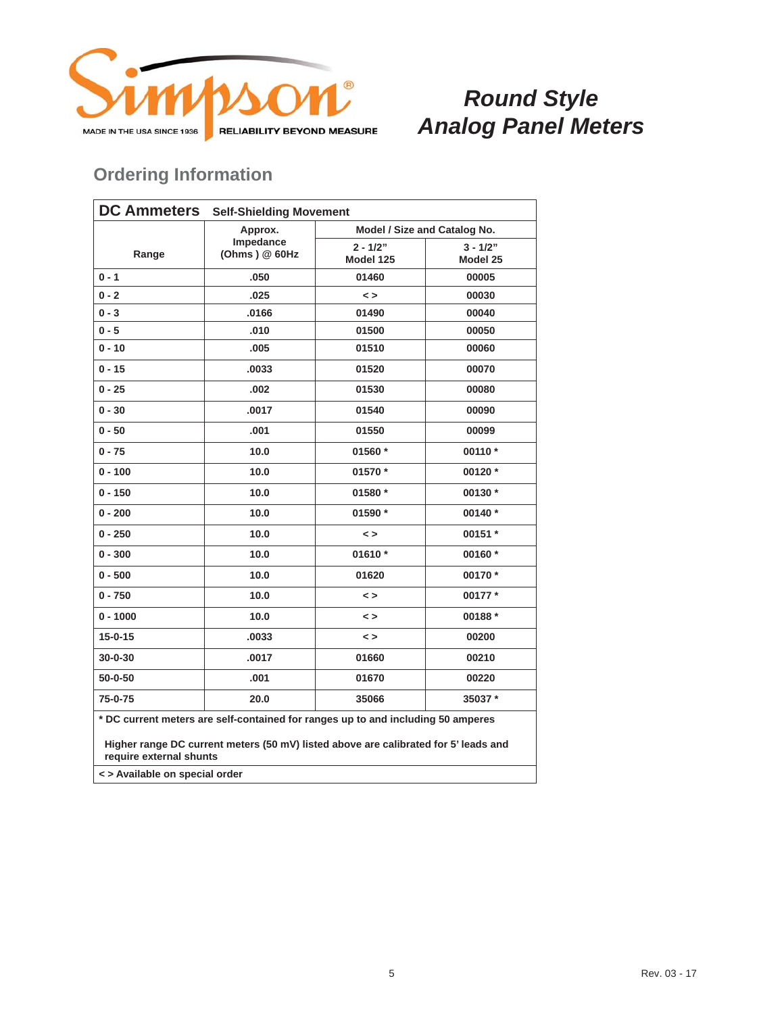

### **Ordering Information**

| <b>DC Ammeters</b><br><b>Self-Shielding Movement</b>                                                                                                                    |                                                                             |                              |  |
|-------------------------------------------------------------------------------------------------------------------------------------------------------------------------|-----------------------------------------------------------------------------|------------------------------|--|
| Approx.                                                                                                                                                                 | Model / Size and Catalog No.                                                |                              |  |
|                                                                                                                                                                         | $2 - 1/2"$                                                                  | $3 - 1/2"$                   |  |
|                                                                                                                                                                         |                                                                             | Model 25                     |  |
|                                                                                                                                                                         |                                                                             | 00005                        |  |
|                                                                                                                                                                         |                                                                             | 00030                        |  |
| .0166                                                                                                                                                                   | 01490                                                                       | 00040                        |  |
| .010                                                                                                                                                                    | 01500                                                                       | 00050                        |  |
| .005                                                                                                                                                                    | 01510                                                                       | 00060                        |  |
| .0033                                                                                                                                                                   | 01520                                                                       | 00070                        |  |
| .002                                                                                                                                                                    | 01530                                                                       | 00080                        |  |
| .0017                                                                                                                                                                   | 01540                                                                       | 00090                        |  |
| .001                                                                                                                                                                    | 01550                                                                       | 00099                        |  |
| 10.0                                                                                                                                                                    | 01560 *                                                                     | 00110 *                      |  |
| 10.0                                                                                                                                                                    | 01570 *                                                                     | 00120 *                      |  |
| 10.0                                                                                                                                                                    | 01580 *                                                                     | 00130 *                      |  |
| 10.0                                                                                                                                                                    | 01590 *                                                                     | 00140 *                      |  |
| 10.0                                                                                                                                                                    | $\leq$                                                                      | 00151 *                      |  |
| 10.0                                                                                                                                                                    | 01610 $*$                                                                   | 00160 *                      |  |
| 10.0                                                                                                                                                                    | 01620                                                                       | 00170 *                      |  |
| 10.0                                                                                                                                                                    | $\leq$                                                                      | 00177*                       |  |
| 10.0                                                                                                                                                                    | $\leq$                                                                      | 00188 *                      |  |
| .0033                                                                                                                                                                   | $\leq$                                                                      | 00200                        |  |
| .0017                                                                                                                                                                   | 01660                                                                       | 00210                        |  |
| .001                                                                                                                                                                    | 01670                                                                       | 00220                        |  |
| 20.0                                                                                                                                                                    | 35066                                                                       | 35037 *                      |  |
| * DC current meters are self-contained for ranges up to and including 50 amperes<br>Higher range DC current meters (50 mV) listed above are calibrated for 5' leads and |                                                                             |                              |  |
| require external shunts                                                                                                                                                 |                                                                             |                              |  |
|                                                                                                                                                                         | Impedance<br>(Ohms) $@60Hz$<br>.050<br>.025<br>- Available en ensoiel erder | Model 125<br>01460<br>$\leq$ |  |

**< > Available on special order**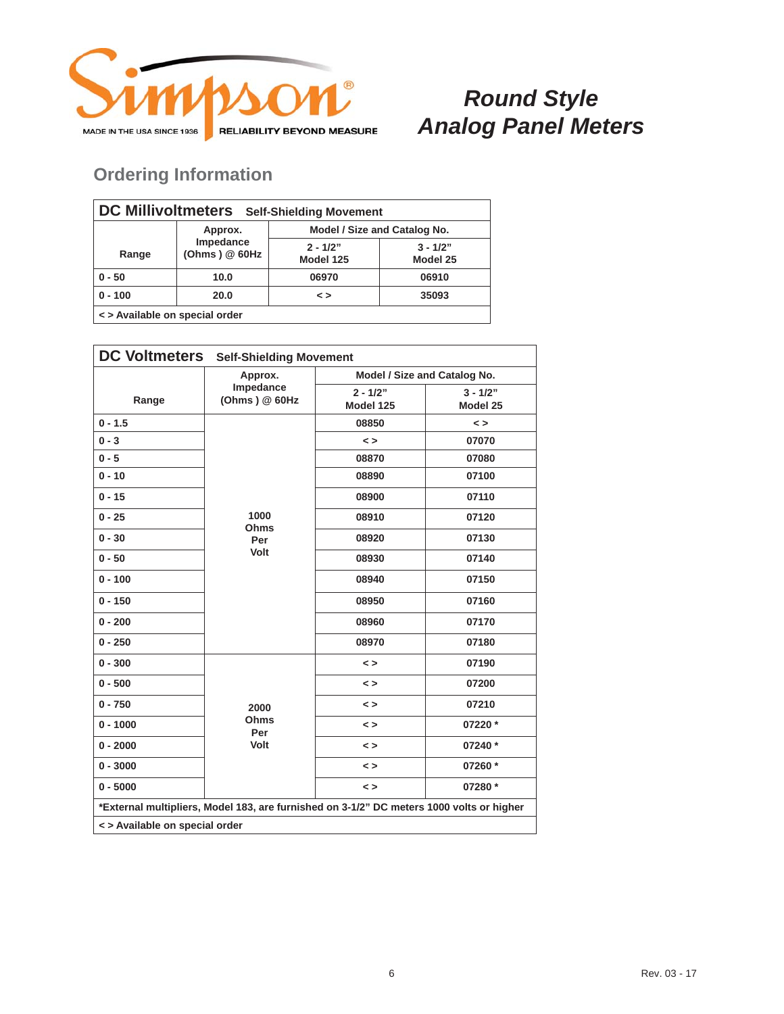

| <b>DC Millivoltmeters</b><br><b>Self-Shielding Movement</b> |                             |                              |                        |  |
|-------------------------------------------------------------|-----------------------------|------------------------------|------------------------|--|
|                                                             | Approx.                     | Model / Size and Catalog No. |                        |  |
| Range                                                       | Impedance<br>(Ohms) $@60Hz$ | $2 - 1/2"$<br>Model 125      | $3 - 1/2"$<br>Model 25 |  |
| $0 - 50$                                                    | 10.0                        | 06970                        | 06910                  |  |
| $0 - 100$                                                   | 20.0                        | $\leq$                       | 35093                  |  |
| <> Available on special order                               |                             |                              |                        |  |

| <b>DC Voltmeters</b>                                                                     | <b>Self-Shielding Movement</b>         |                              |                        |  |
|------------------------------------------------------------------------------------------|----------------------------------------|------------------------------|------------------------|--|
|                                                                                          | Approx.<br>Impedance<br>(Ohms) $@60Hz$ | Model / Size and Catalog No. |                        |  |
| Range                                                                                    |                                        | $2 - 1/2"$<br>Model 125      | $3 - 1/2"$<br>Model 25 |  |
| $0 - 1.5$                                                                                | 1000<br>Ohms<br>Per<br>Volt            | 08850                        | $\leq$                 |  |
| $0 - 3$                                                                                  |                                        | $\leq$                       | 07070                  |  |
| $0 - 5$                                                                                  |                                        | 08870                        | 07080                  |  |
| $0 - 10$                                                                                 |                                        | 08890                        | 07100                  |  |
| $0 - 15$                                                                                 |                                        | 08900                        | 07110                  |  |
| $0 - 25$                                                                                 |                                        | 08910                        | 07120                  |  |
| $0 - 30$                                                                                 |                                        | 08920                        | 07130                  |  |
| $0 - 50$                                                                                 |                                        | 08930                        | 07140                  |  |
| $0 - 100$                                                                                |                                        | 08940                        | 07150                  |  |
| $0 - 150$                                                                                |                                        | 08950                        | 07160                  |  |
| $0 - 200$                                                                                |                                        | 08960                        | 07170                  |  |
| $0 - 250$                                                                                |                                        | 08970                        | 07180                  |  |
| $0 - 300$                                                                                | 2000<br>Ohms<br>Per<br>Volt            | $\leq$                       | 07190                  |  |
| $0 - 500$                                                                                |                                        | $\leq$                       | 07200                  |  |
| $0 - 750$                                                                                |                                        | $\leq$                       | 07210                  |  |
| $0 - 1000$                                                                               |                                        | $\leq$                       | 07220 *                |  |
| $0 - 2000$                                                                               |                                        | $\leq$ $>$                   | 07240 *                |  |
| $0 - 3000$                                                                               |                                        | $\leq$                       | 07260 *                |  |
| $0 - 5000$                                                                               |                                        | $\leq$                       | 07280 *                |  |
| *External multipliers, Model 183, are furnished on 3-1/2" DC meters 1000 volts or higher |                                        |                              |                        |  |
| < > Available on special order                                                           |                                        |                              |                        |  |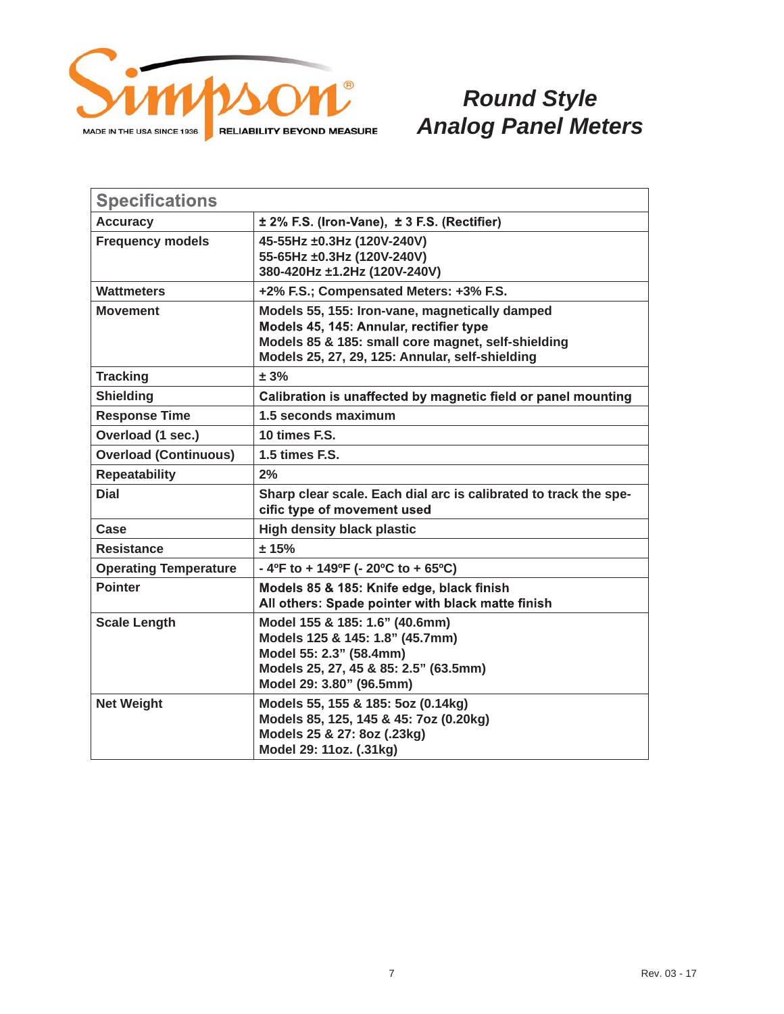

| <b>Specifications</b>        |                                                                                                                                                                                                    |  |
|------------------------------|----------------------------------------------------------------------------------------------------------------------------------------------------------------------------------------------------|--|
| <b>Accuracy</b>              | ± 2% F.S. (Iron-Vane), ± 3 F.S. (Rectifier)                                                                                                                                                        |  |
| <b>Frequency models</b>      | 45-55Hz ±0.3Hz (120V-240V)<br>55-65Hz ±0.3Hz (120V-240V)<br>380-420Hz ±1.2Hz (120V-240V)                                                                                                           |  |
| <b>Wattmeters</b>            | +2% F.S.; Compensated Meters: +3% F.S.                                                                                                                                                             |  |
| <b>Movement</b>              | Models 55, 155: Iron-vane, magnetically damped<br>Models 45, 145: Annular, rectifier type<br>Models 85 & 185: small core magnet, self-shielding<br>Models 25, 27, 29, 125: Annular, self-shielding |  |
| <b>Tracking</b>              | ± 3%                                                                                                                                                                                               |  |
| <b>Shielding</b>             | Calibration is unaffected by magnetic field or panel mounting                                                                                                                                      |  |
| <b>Response Time</b>         | 1.5 seconds maximum                                                                                                                                                                                |  |
| Overload (1 sec.)            | 10 times F.S.                                                                                                                                                                                      |  |
| <b>Overload (Continuous)</b> | 1.5 times F.S.                                                                                                                                                                                     |  |
| <b>Repeatability</b>         | 2%                                                                                                                                                                                                 |  |
| <b>Dial</b>                  | Sharp clear scale. Each dial arc is calibrated to track the spe-<br>cific type of movement used                                                                                                    |  |
| Case                         | <b>High density black plastic</b>                                                                                                                                                                  |  |
| <b>Resistance</b>            | ± 15%                                                                                                                                                                                              |  |
| <b>Operating Temperature</b> | - 4ºF to + 149ºF (- 20ºC to + 65ºC)                                                                                                                                                                |  |
| <b>Pointer</b>               | Models 85 & 185: Knife edge, black finish<br>All others: Spade pointer with black matte finish                                                                                                     |  |
| <b>Scale Length</b>          | Model 155 & 185: 1.6" (40.6mm)<br>Models 125 & 145: 1.8" (45.7mm)<br>Model 55: 2.3" (58.4mm)<br>Models 25, 27, 45 & 85: 2.5" (63.5mm)<br>Model 29: 3.80" (96.5mm)                                  |  |
| <b>Net Weight</b>            | Models 55, 155 & 185: 5oz (0.14kg)<br>Models 85, 125, 145 & 45: 7oz (0.20kg)<br>Models 25 & 27: 8oz (.23kg)<br>Model 29: 11oz. (.31kg)                                                             |  |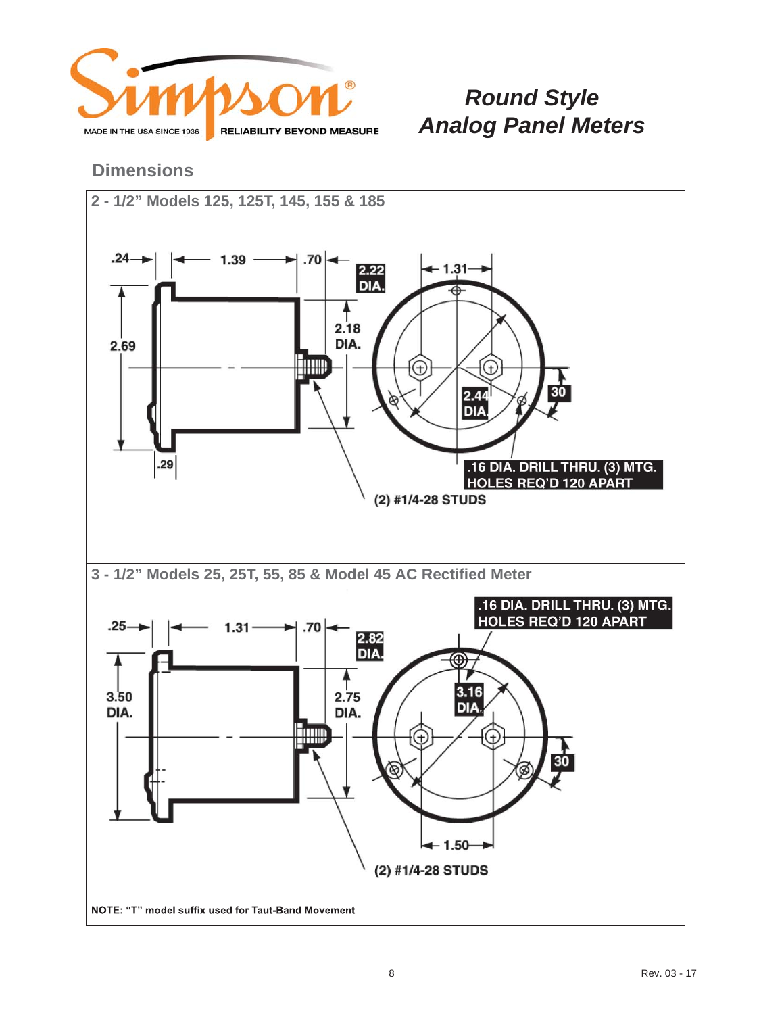

#### **Dimensions**